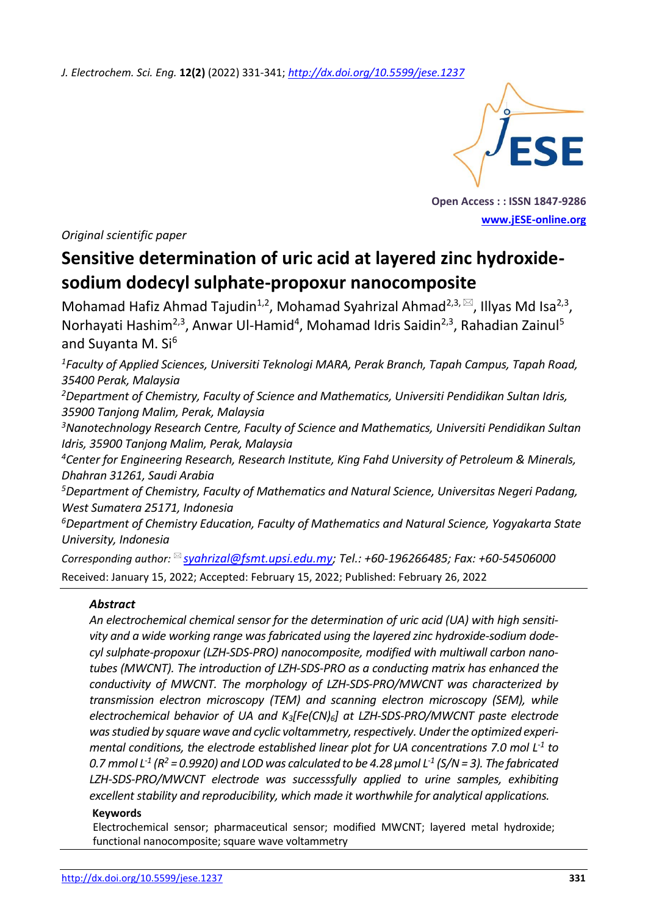*J. Electrochem. Sci. Eng.* **12(2)** (2022) 331-341; *<http://dx.doi.org/10.5599/jese.1237>*



**Open Access : : ISSN 1847-9286 [www.jESE-online.org](http://www.jese-online.org/)**

*Original scientific paper*

# **Sensitive determination of uric acid at layered zinc hydroxidesodium dodecyl sulphate-propoxur nanocomposite**

Mohamad Hafiz Ahmad Tajudin<sup>1,2</sup>, Mohamad Syahrizal Ahmad<sup>2,3,  $\boxtimes$ , Illyas Md Isa<sup>2,3</sup>,</sup> Norhayati Hashim<sup>2,3</sup>, Anwar Ul-Hamid<sup>4</sup>, Mohamad Idris Saidin<sup>2,3</sup>, Rahadian Zainul<sup>5</sup> and Suvanta M.  $Si<sup>6</sup>$ 

*<sup>1</sup>Faculty of Applied Sciences, Universiti Teknologi MARA, Perak Branch, Tapah Campus, Tapah Road, 35400 Perak, Malaysia*

*<sup>2</sup>Department of Chemistry, Faculty of Science and Mathematics, Universiti Pendidikan Sultan Idris, 35900 Tanjong Malim, Perak, Malaysia* 

*<sup>3</sup>Nanotechnology Research Centre, Faculty of Science and Mathematics, Universiti Pendidikan Sultan Idris, 35900 Tanjong Malim, Perak, Malaysia* 

*<sup>4</sup>Center for Engineering Research, Research Institute, King Fahd University of Petroleum & Minerals, Dhahran 31261, Saudi Arabia*

*<sup>5</sup>Department of Chemistry, Faculty of Mathematics and Natural Science, Universitas Negeri Padang, West Sumatera 25171, Indonesia* 

*<sup>6</sup>Department of Chemistry Education, Faculty of Mathematics and Natural Science, Yogyakarta State University, Indonesia*

*Corresponding author: [syahrizal@fsmt.upsi.edu.my;](mailto:syahrizal@fsmt.upsi.edu.my) Tel.: +60-196266485; Fax: +60-54506000* Received: January 15, 2022; Accepted: February 15, 2022; Published: February 26, 2022

# *Abstract*

*An electrochemical chemical sensor for the determination of uric acid (UA) with high sensitivity and a wide working range was fabricated using the layered zinc hydroxide-sodium dodecyl sulphate-propoxur (LZH-SDS-PRO) nanocomposite, modified with multiwall carbon nanotubes (MWCNT). The introduction of LZH-SDS-PRO as a conducting matrix has enhanced the conductivity of MWCNT. The morphology of LZH-SDS-PRO/MWCNT was characterized by transmission electron microscopy (TEM) and scanning electron microscopy (SEM), while electrochemical behavior of UA and K3[Fe(CN)6] at LZH-SDS-PRO/MWCNT paste electrode*  was studied by square wave and cyclic voltammetry, respectively. Under the optimized experi*mental conditions, the electrode established linear plot for UA concentrations 7.0 mol L-1 to*  0.7 mmol L<sup>-1</sup> (R<sup>2</sup> = 0.9920) and LOD was calculated to be 4.28  $\mu$ mol L<sup>-1</sup> (S/N = 3). The fabricated *LZH-SDS-PRO/MWCNT electrode was successsfully applied to urine samples, exhibiting excellent stability and reproducibility, which made it worthwhile for analytical applications.*

#### **Keywords**

Electrochemical sensor; pharmaceutical sensor; modified MWCNT; layered metal hydroxide; functional nanocomposite; square wave voltammetry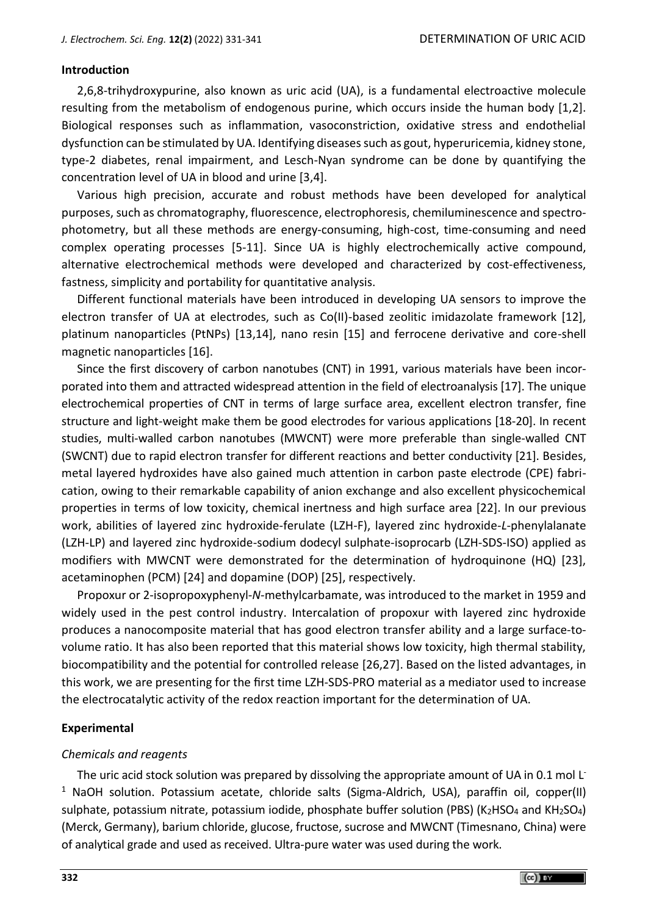#### **Introduction**

2,6,8-trihydroxypurine, also known as uric acid (UA), is a fundamental electroactive molecule resulting from the metabolism of endogenous purine, which occurs inside the human body [1,2]. Biological responses such as inflammation, vasoconstriction, oxidative stress and endothelial dysfunction can be stimulated by UA. Identifying diseases such as gout, hyperuricemia, kidney stone, type-2 diabetes, renal impairment, and Lesch-Nyan syndrome can be done by quantifying the concentration level of UA in blood and urine [3,4].

Various high precision, accurate and robust methods have been developed for analytical purposes, such as chromatography, fluorescence, electrophoresis, chemiluminescence and spectrophotometry, but all these methods are energy-consuming, high-cost, time-consuming and need complex operating processes [5-11]. Since UA is highly electrochemically active compound, alternative electrochemical methods were developed and characterized by cost-effectiveness, fastness, simplicity and portability for quantitative analysis.

Different functional materials have been introduced in developing UA sensors to improve the electron transfer of UA at electrodes, such as Co(II)-based zeolitic imidazolate framework [12], platinum nanoparticles (PtNPs) [13,14], nano resin [15] and ferrocene derivative and core-shell magnetic nanoparticles [16].

Since the first discovery of carbon nanotubes (CNT) in 1991, various materials have been incorporated into them and attracted widespread attention in the field of electroanalysis [17]. The unique electrochemical properties of CNT in terms of large surface area, excellent electron transfer, fine structure and light-weight make them be good electrodes for various applications [18-20]. In recent studies, multi-walled carbon nanotubes (MWCNT) were more preferable than single-walled CNT (SWCNT) due to rapid electron transfer for different reactions and better conductivity [21]. Besides, metal layered hydroxides have also gained much attention in carbon paste electrode (CPE) fabrication, owing to their remarkable capability of anion exchange and also excellent physicochemical properties in terms of low toxicity, chemical inertness and high surface area [22]. In our previous work, abilities of layered zinc hydroxide-ferulate (LZH-F), layered zinc hydroxide-*L*-phenylalanate (LZH-LP) and layered zinc hydroxide-sodium dodecyl sulphate-isoprocarb (LZH-SDS-ISO) applied as modifiers with MWCNT were demonstrated for the determination of hydroquinone (HQ) [23], acetaminophen (PCM) [24] and dopamine (DOP) [25], respectively.

Propoxur or 2-isopropoxyphenyl-*N*-methylcarbamate, was introduced to the market in 1959 and widely used in the pest control industry. Intercalation of propoxur with layered zinc hydroxide produces a nanocomposite material that has good electron transfer ability and a large surface-tovolume ratio. It has also been reported that this material shows low toxicity, high thermal stability, biocompatibility and the potential for controlled release [26,27]. Based on the listed advantages, in this work, we are presenting for the first time LZH-SDS-PRO material as a mediator used to increase the electrocatalytic activity of the redox reaction important for the determination of UA.

#### **Experimental**

#### *Chemicals and reagents*

The uric acid stock solution was prepared by dissolving the appropriate amount of UA in 0.1 mol L<sup>-</sup> <sup>1</sup> NaOH solution. Potassium acetate, chloride salts (Sigma-Aldrich, USA), paraffin oil, copper(II) sulphate, potassium nitrate, potassium iodide, phosphate buffer solution (PBS) (K<sub>2</sub>HSO<sub>4</sub> and KH<sub>2</sub>SO<sub>4</sub>) (Merck, Germany), barium chloride, glucose, fructose, sucrose and MWCNT (Timesnano, China) were of analytical grade and used as received. Ultra-pure water was used during the work.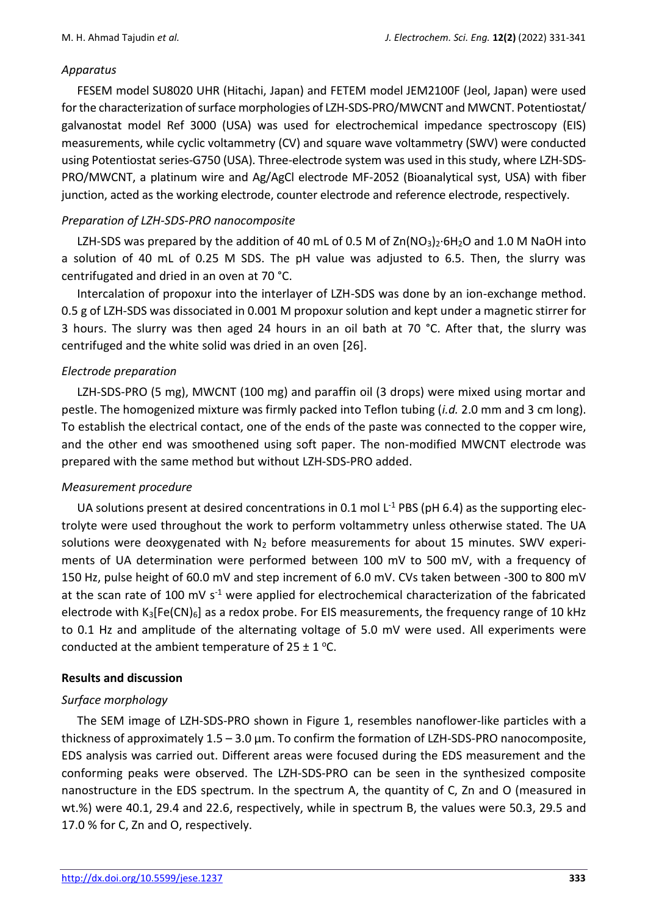#### *Apparatus*

FESEM model SU8020 UHR (Hitachi, Japan) and FETEM model JEM2100F (Jeol, Japan) were used for the characterization of surface morphologies of LZH-SDS-PRO/MWCNT and MWCNT. Potentiostat/ galvanostat model Ref 3000 (USA) was used for electrochemical impedance spectroscopy (EIS) measurements, while cyclic voltammetry (CV) and square wave voltammetry (SWV) were conducted using Potentiostat series-G750 (USA). Three-electrode system was used in this study, where LZH-SDS-PRO/MWCNT, a platinum wire and Ag/AgCl electrode MF-2052 (Bioanalytical syst, USA) with fiber junction, acted as the working electrode, counter electrode and reference electrode, respectively.

# *Preparation of LZH-SDS-PRO nanocomposite*

LZH-SDS was prepared by the addition of 40 mL of 0.5 M of  $Zn(NO<sub>3</sub>)<sub>2</sub>·6H<sub>2</sub>O$  and 1.0 M NaOH into a solution of 40 mL of 0.25 M SDS. The pH value was adjusted to 6.5. Then, the slurry was centrifugated and dried in an oven at 70 °C.

Intercalation of propoxur into the interlayer of LZH-SDS was done by an ion-exchange method. 0.5 g of LZH-SDS was dissociated in 0.001 M propoxur solution and kept under a magnetic stirrer for 3 hours. The slurry was then aged 24 hours in an oil bath at 70 °C. After that, the slurry was centrifuged and the white solid was dried in an oven [26].

# *Electrode preparation*

LZH-SDS-PRO (5 mg), MWCNT (100 mg) and paraffin oil (3 drops) were mixed using mortar and pestle. The homogenized mixture was firmly packed into Teflon tubing (*i.d.* 2.0 mm and 3 cm long). To establish the electrical contact, one of the ends of the paste was connected to the copper wire, and the other end was smoothened using soft paper. The non-modified MWCNT electrode was prepared with the same method but without LZH-SDS-PRO added.

# *Measurement procedure*

UA solutions present at desired concentrations in 0.1 mol  $L^{-1}$  PBS (pH 6.4) as the supporting electrolyte were used throughout the work to perform voltammetry unless otherwise stated. The UA solutions were deoxygenated with  $N_2$  before measurements for about 15 minutes. SWV experiments of UA determination were performed between 100 mV to 500 mV, with a frequency of 150 Hz, pulse height of 60.0 mV and step increment of 6.0 mV. CVs taken between -300 to 800 mV at the scan rate of 100 mV s<sup>-1</sup> were applied for electrochemical characterization of the fabricated electrode with  $K_3[Fe(CN)_6]$  as a redox probe. For EIS measurements, the frequency range of 10 kHz to 0.1 Hz and amplitude of the alternating voltage of 5.0 mV were used. All experiments were conducted at the ambient temperature of  $25 \pm 1$  °C.

# **Results and discussion**

# *Surface morphology*

The SEM image of LZH-SDS-PRO shown in Figure 1, resembles nanoflower-like particles with a thickness of approximately 1.5 – 3.0 µm. To confirm the formation of LZH-SDS-PRO nanocomposite, EDS analysis was carried out. Different areas were focused during the EDS measurement and the conforming peaks were observed. The LZH-SDS-PRO can be seen in the synthesized composite nanostructure in the EDS spectrum. In the spectrum A, the quantity of C, Zn and O (measured in wt.%) were 40.1, 29.4 and 22.6, respectively, while in spectrum B, the values were 50.3, 29.5 and 17.0 % for C, Zn and O, respectively.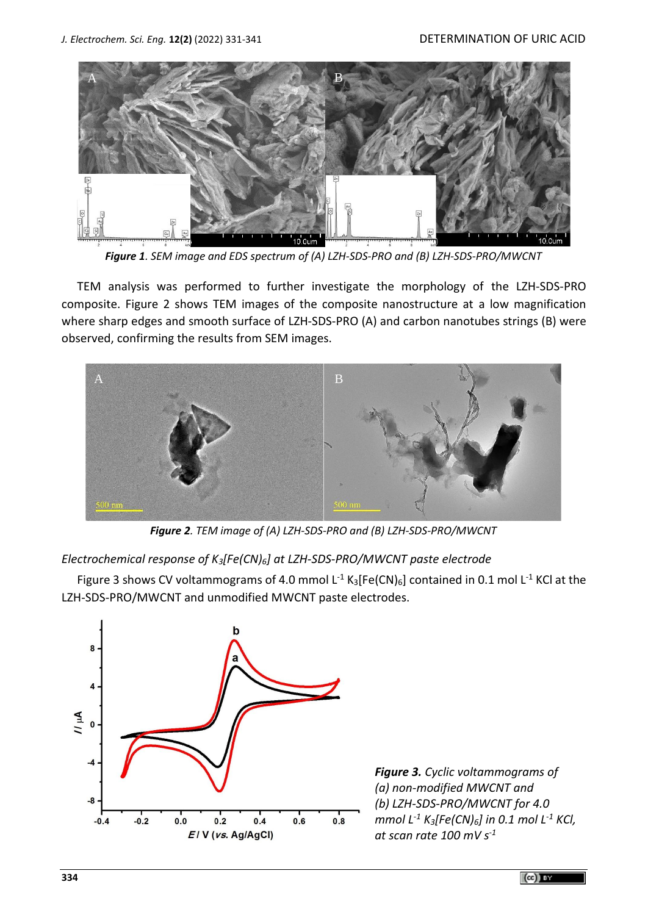

*Figure 1. SEM image and EDS spectrum of (A) LZH-SDS-PRO and (B) LZH-SDS-PRO/MWCNT*

TEM analysis was performed to further investigate the morphology of the LZH-SDS-PRO composite. Figure 2 shows TEM images of the composite nanostructure at a low magnification where sharp edges and smooth surface of LZH-SDS-PRO (A) and carbon nanotubes strings (B) were observed, confirming the results from SEM images.



*Figure 2. TEM image of (A) LZH-SDS-PRO and (B) LZH-SDS-PRO/MWCNT*

*Electrochemical response of K3[Fe(CN)6] at LZH-SDS-PRO/MWCNT paste electrode*

Figure 3 shows CV voltammograms of 4.0 mmol L<sup>-1</sup> K<sub>3</sub>[Fe(CN)<sub>6</sub>] contained in 0.1 mol L<sup>-1</sup> KCl at the LZH-SDS-PRO/MWCNT and unmodified MWCNT paste electrodes.



*Figure 3. Cyclic voltammograms of (a) non-modified MWCNT and (b) LZH-SDS-PRO/MWCNT for 4.0 mmol L -1 K3[Fe(CN)6] in 0.1 mol L -1 KCl, at scan rate 100 mV s -1*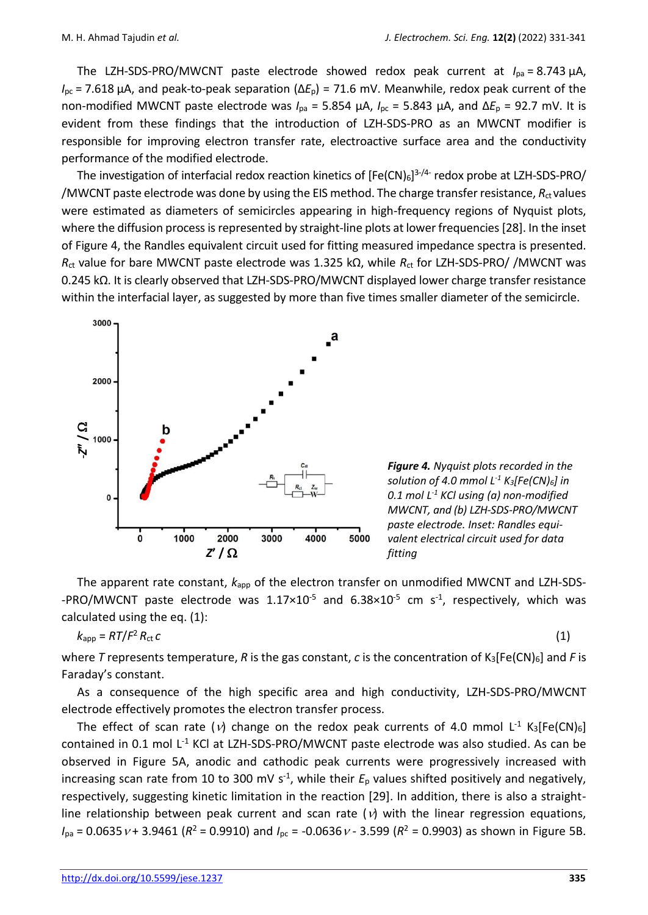The LZH-SDS-PRO/MWCNT paste electrode showed redox peak current at *I*pa = 8.743 µA, *I*<sub>pc</sub> = 7.618 μA, and peak-to-peak separation (Δ*E*<sub>p</sub>) = 71.6 mV. Meanwhile, redox peak current of the non-modified MWCNT paste electrode was *I*pa = 5.854 µA, *I*pc = 5.843 µA, and ∆*E*<sup>p</sup> = 92.7 mV. It is evident from these findings that the introduction of LZH-SDS-PRO as an MWCNT modifier is responsible for improving electron transfer rate, electroactive surface area and the conductivity performance of the modified electrode.

The investigation of interfacial redox reaction kinetics of [Fe(CN) $_6$ ]<sup>3-/4-</sup> redox probe at LZH-SDS-PRO/ /MWCNT paste electrode was done by using the EIS method. The charge transfer resistance,  $R_{ct}$  values were estimated as diameters of semicircles appearing in high-frequency regions of Nyquist plots, where the diffusion process is represented by straight-line plots at lower frequencies [28]. In the inset of Figure 4, the Randles equivalent circuit used for fitting measured impedance spectra is presented. *R*ct value for bare MWCNT paste electrode was 1.325 kΩ, while *R*ct for LZH-SDS-PRO/ /MWCNT was 0.245 kΩ. It is clearly observed that LZH-SDS-PRO/MWCNT displayed lower charge transfer resistance within the interfacial layer, as suggested by more than five times smaller diameter of the semicircle.



*Figure 4. Nyquist plots recorded in the solution of 4.0 mmol L -1 K3[Fe(CN)6] in 0.1 mol L -1 KCl using (a) non-modified MWCNT, and (b) LZH-SDS-PRO/MWCNT paste electrode. Inset: Randles equivalent electrical circuit used for data* 

The apparent rate constant,  $k_{app}$  of the electron transfer on unmodified MWCNT and LZH-SDS--PRO/MWCNT paste electrode was  $1.17 \times 10^{-5}$  and  $6.38 \times 10^{-5}$  cm s<sup>-1</sup>, respectively, which was calculated using the eq. (1):

$$
k_{\rm app} = RT/F^2 R_{\rm ct} c \tag{1}
$$

where *T* represents temperature, *R* is the gas constant, *c* is the concentration of  $K_3[Fe(CN)_6]$  and *F* is Faraday's constant.

As a consequence of the high specific area and high conductivity, LZH-SDS-PRO/MWCNT electrode effectively promotes the electron transfer process.

The effect of scan rate ( $v$ ) change on the redox peak currents of 4.0 mmol L<sup>-1</sup> K<sub>3</sub>[Fe(CN)<sub>6</sub>] contained in 0.1 mol L<sup>-1</sup> KCl at LZH-SDS-PRO/MWCNT paste electrode was also studied. As can be observed in Figure 5A, anodic and cathodic peak currents were progressively increased with increasing scan rate from 10 to 300 mV s<sup>-1</sup>, while their  $E_p$  values shifted positively and negatively, respectively, suggesting kinetic limitation in the reaction [29]. In addition, there is also a straightline relationship between peak current and scan rate ( $\nu$ ) with the linear regression equations,  $I_{pa}$  = 0.0635  $v$  + 3.9461 ( $R^2$  = 0.9910) and  $I_{pc}$  = -0.0636  $v$  - 3.599 ( $R^2$  = 0.9903) as shown in Figure 5B.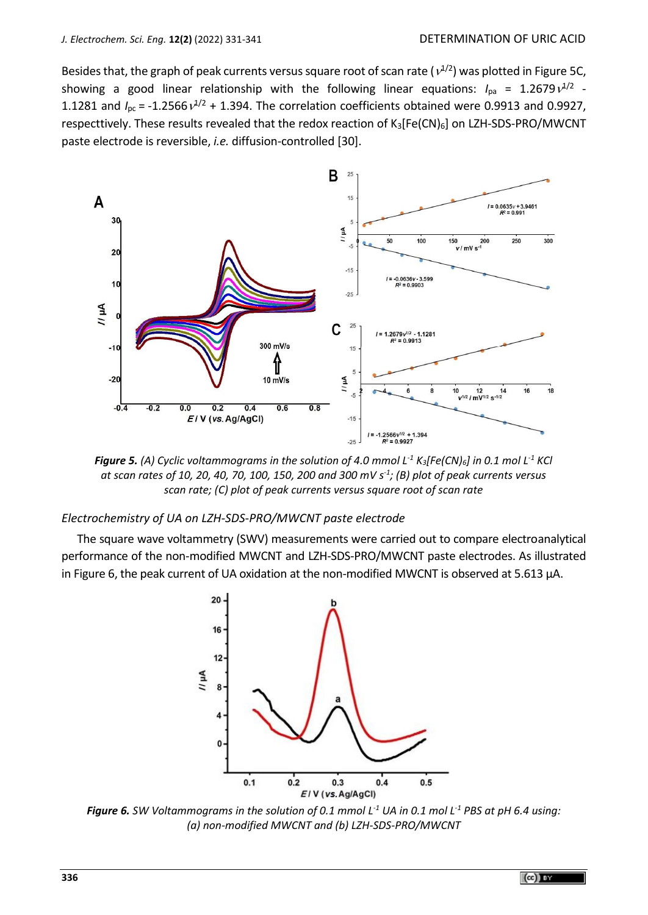Besides that, the graph of peak currents versus square root of scan rate ( $v^{1/2}$ ) was plotted in Figure 5C, showing a good linear relationship with the following linear equations:  $I_{\text{pa}}$  = 1.2679 $\nu^{1/2}$  -1.1281 and  $I_{\text{pc}}$  = -1.2566 $v^{1/2}$  + 1.394. The correlation coefficients obtained were 0.9913 and 0.9927, respecttively. These results revealed that the redox reaction of  $K_3[Fe(CN)_6]$  on LZH-SDS-PRO/MWCNT paste electrode is reversible, *i.e.* diffusion-controlled [30].



*Figure 5. (A) Cyclic voltammograms in the solution of 4.0 mmol L -1 K3[Fe(CN)6] in 0.1 mol L -1 KCl at scan rates of 10, 20, 40, 70, 100, 150, 200 and 300 mV s -1 ; (B) plot of peak currents versus scan rate; (C) plot of peak currents versus square root of scan rate*

#### *Electrochemistry of UA on LZH-SDS-PRO/MWCNT paste electrode*

The square wave voltammetry (SWV) measurements were carried out to compare electroanalytical performance of the non-modified MWCNT and LZH-SDS-PRO/MWCNT paste electrodes. As illustrated in Figure 6, the peak current of UA oxidation at the non-modified MWCNT is observed at 5.613 µA.



*Figure 6. SW Voltammograms in the solution of 0.1 mmol L -1 UA in 0.1 mol L -1 PBS at pH 6.4 using: (a) non-modified MWCNT and (b) LZH-SDS-PRO/MWCNT*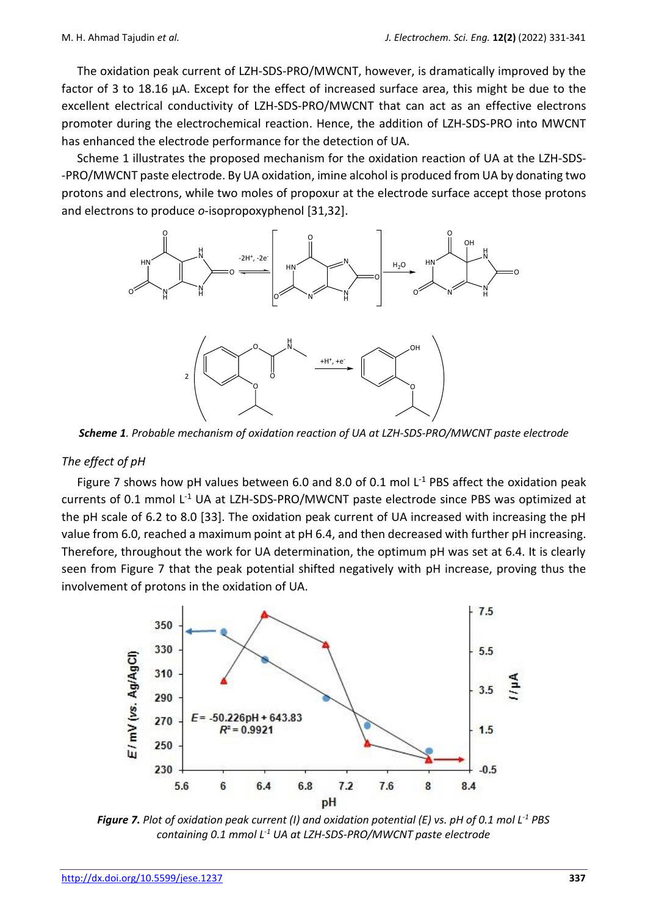The oxidation peak current of LZH-SDS-PRO/MWCNT, however, is dramatically improved by the factor of 3 to 18.16 µA. Except for the effect of increased surface area, this might be due to the excellent electrical conductivity of LZH-SDS-PRO/MWCNT that can act as an effective electrons promoter during the electrochemical reaction. Hence, the addition of LZH-SDS-PRO into MWCNT has enhanced the electrode performance for the detection of UA.

Scheme 1 illustrates the proposed mechanism for the oxidation reaction of UA at the LZH-SDS- -PRO/MWCNT paste electrode. By UA oxidation, imine alcohol is produced from UA by donating two protons and electrons, while two moles of propoxur at the electrode surface accept those protons and electrons to produce *o*-isopropoxyphenol [31,32].



*Scheme 1. Probable mechanism of oxidation reaction of UA at LZH-SDS-PRO/MWCNT paste electrode*

#### *The effect of pH*

Figure 7 shows how pH values between 6.0 and 8.0 of 0.1 mol  $L^{-1}$  PBS affect the oxidation peak currents of 0.1 mmol L<sup>-1</sup> UA at LZH-SDS-PRO/MWCNT paste electrode since PBS was optimized at the pH scale of 6.2 to 8.0 [33]. The oxidation peak current of UA increased with increasing the pH value from 6.0, reached a maximum point at pH 6.4, and then decreased with further pH increasing. Therefore, throughout the work for UA determination, the optimum pH was set at 6.4. It is clearly seen from Figure 7 that the peak potential shifted negatively with pH increase, proving thus the involvement of protons in the oxidation of UA.



*Figure 7. Plot of oxidation peak current (I) and oxidation potential (E) vs. pH of 0.1 mol L -1 PBS containing 0.1 mmol L -1 UA at LZH-SDS-PRO/MWCNT paste electrode*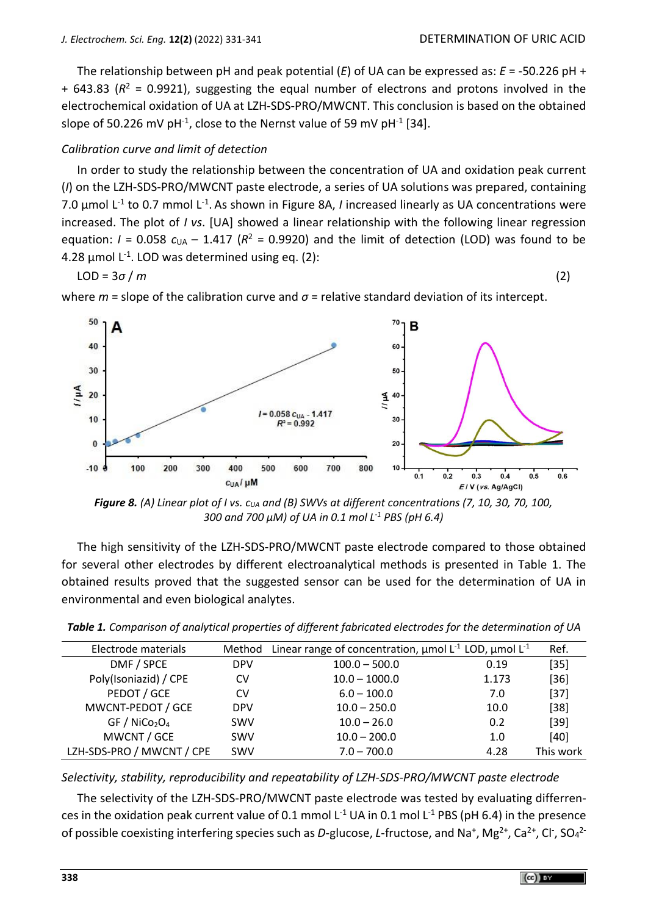The relationship between pH and peak potential (*E*) of UA can be expressed as: *E* = -50.226 pH + + 643.83 (*R* <sup>2</sup> = 0.9921), suggesting the equal number of electrons and protons involved in the electrochemical oxidation of UA at LZH-SDS-PRO/MWCNT. This conclusion is based on the obtained slope of 50.226 mV pH<sup>-1</sup>, close to the Nernst value of 59 mV pH<sup>-1</sup> [34].

# *Calibration curve and limit of detection*

In order to study the relationship between the concentration of UA and oxidation peak current (*I*) on the LZH-SDS-PRO/MWCNT paste electrode, a series of UA solutions was prepared, containing 7.0 μmol L<sup>-1</sup> to 0.7 mmol L<sup>-1</sup>. As shown in Figure 8A, *I* increased linearly as UA concentrations were increased. The plot of *I vs*. [UA] showed a linear relationship with the following linear regression equation:  $I = 0.058$   $c<sub>UA</sub> - 1.417$  ( $R<sup>2</sup> = 0.9920$ ) and the limit of detection (LOD) was found to be  $4.28$  µmol L<sup>-1</sup>. LOD was determined using eq. (2):

$$
LOD = 3\sigma/m
$$
 (2)

where  $m$  = slope of the calibration curve and  $\sigma$  = relative standard deviation of its intercept.



*Figure 8. (A) Linear plot of I vs. c<sub><i>UA*</sub> and (B) SWVs at different concentrations (7, 10, 30, 70, 100, *300 and 700 µM) of UA in 0.1 mol L -1 PBS (pH 6.4)* 

The high sensitivity of the LZH-SDS-PRO/MWCNT paste electrode compared to those obtained for several other electrodes by different electroanalytical methods is presented in Table 1. The obtained results proved that the suggested sensor can be used for the determination of UA in environmental and even biological analytes.

| Electrode materials                   | Method     | Linear range of concentration, $\mu$ mol L <sup>-1</sup> LOD, $\mu$ mol L <sup>-1</sup> |       | Ref.      |
|---------------------------------------|------------|-----------------------------------------------------------------------------------------|-------|-----------|
| DMF / SPCE                            | <b>DPV</b> | $100.0 - 500.0$                                                                         | 0.19  | $[35]$    |
| Poly(Isoniazid) / CPE                 | <b>CV</b>  | $10.0 - 1000.0$                                                                         | 1.173 | $[36]$    |
| PEDOT / GCE                           | CV         | $6.0 - 100.0$                                                                           | 7.0   | $[37]$    |
| MWCNT-PEDOT / GCE                     | <b>DPV</b> | $10.0 - 250.0$                                                                          | 10.0  | $[38]$    |
| GF / NiCo <sub>2</sub> O <sub>4</sub> | <b>SWV</b> | $10.0 - 26.0$                                                                           | 0.2   | $[39]$    |
| MWCNT / GCE                           | <b>SWV</b> | $10.0 - 200.0$                                                                          | 1.0   | $[40]$    |
| LZH-SDS-PRO / MWCNT / CPE             | <b>SWV</b> | $7.0 - 700.0$                                                                           | 4.28  | This work |

*Selectivity, stability, reproducibility and repeatability of LZH-SDS-PRO/MWCNT paste electrode*

The selectivity of the LZH-SDS-PRO/MWCNT paste electrode was tested by evaluating differrences in the oxidation peak current value of 0.1 mmol L<sup>-1</sup> UA in 0.1 mol L<sup>-1</sup> PBS (pH 6.4) in the presence of possible coexisting interfering species such as D-glucose, L-fructose, and Na<sup>+</sup>, Mg<sup>2+</sup>, Ca<sup>2+</sup>, Cl<sup>-</sup>, SO<sub>4</sub><sup>2-</sup>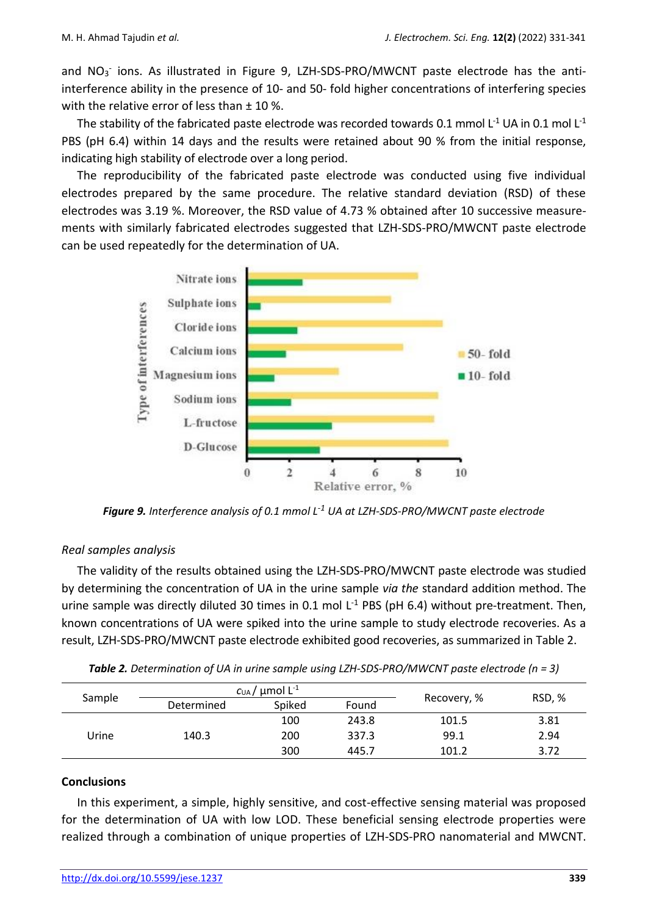and NO<sub>3</sub> ions. As illustrated in Figure 9, LZH-SDS-PRO/MWCNT paste electrode has the antiinterference ability in the presence of 10- and 50- fold higher concentrations of interfering species with the relative error of less than  $\pm$  10 %.

The stability of the fabricated paste electrode was recorded towards 0.1 mmol L<sup>-1</sup> UA in 0.1 mol L<sup>-1</sup> PBS (pH 6.4) within 14 days and the results were retained about 90 % from the initial response, indicating high stability of electrode over a long period.

The reproducibility of the fabricated paste electrode was conducted using five individual electrodes prepared by the same procedure. The relative standard deviation (RSD) of these electrodes was 3.19 %. Moreover, the RSD value of 4.73 % obtained after 10 successive measurements with similarly fabricated electrodes suggested that LZH-SDS-PRO/MWCNT paste electrode can be used repeatedly for the determination of UA.



*Figure 9. Interference analysis of 0.1 mmol L -1 UA at LZH-SDS-PRO/MWCNT paste electrode*

# *Real samples analysis*

The validity of the results obtained using the LZH-SDS-PRO/MWCNT paste electrode was studied by determining the concentration of UA in the urine sample *via the* standard addition method. The urine sample was directly diluted 30 times in 0.1 mol  $L^{-1}$  PBS (pH 6.4) without pre-treatment. Then, known concentrations of UA were spiked into the urine sample to study electrode recoveries. As a result, LZH-SDS-PRO/MWCNT paste electrode exhibited good recoveries, as summarized in Table 2.

| <b>Table 2.</b> Determination of UA in urine sample using LZH-SDS-PRO/MWCNT paste electrode ( $n = 3$ ) |  |
|---------------------------------------------------------------------------------------------------------|--|
|                                                                                                         |  |

| Sample |            | $c_\mathsf{UA}/$ µmol L $^{\text{-}1}$ |       |             |        |
|--------|------------|----------------------------------------|-------|-------------|--------|
|        | Determined | Spiked                                 | Found | Recovery, % | RSD, % |
| Urine  |            | 100                                    | 243.8 | 101.5       | 3.81   |
|        | 140.3      | 200                                    | 337.3 | 99.1        | 2.94   |
|        |            | 300                                    | 445.7 | 101.2       | 3.72   |

#### **Conclusions**

In this experiment, a simple, highly sensitive, and cost-effective sensing material was proposed for the determination of UA with low LOD. These beneficial sensing electrode properties were realized through a combination of unique properties of LZH-SDS-PRO nanomaterial and MWCNT.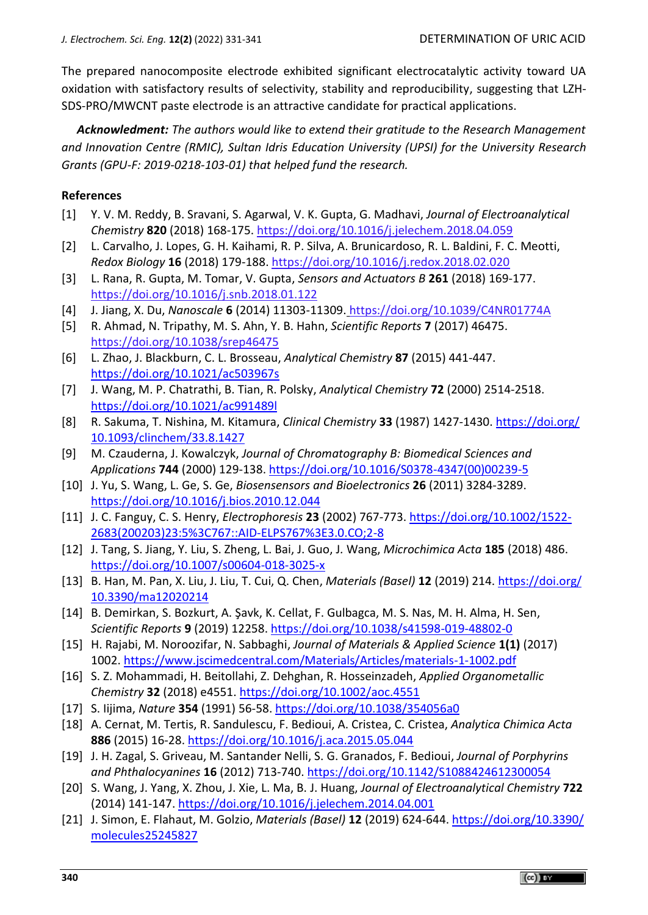The prepared nanocomposite electrode exhibited significant electrocatalytic activity toward UA oxidation with satisfactory results of selectivity, stability and reproducibility, suggesting that LZH-SDS-PRO/MWCNT paste electrode is an attractive candidate for practical applications.

*Acknowledment: The authors would like to extend their gratitude to the Research Management and Innovation Centre (RMIC), Sultan Idris Education University (UPSI) for the University Research Grants (GPU-F: 2019-0218-103-01) that helped fund the research.*

#### **References**

- [1] Y. V. M. Reddy, B. Sravani, S. Agarwal, V. K. Gupta, G. Madhavi, *Journal of Electroanalytical Chem*is*try* **820** (2018) 168-175. <https://doi.org/10.1016/j.jelechem.2018.04.059>
- [2] L. Carvalho, J. Lopes, G. H. Kaihami, R. P. Silva, A. Brunicardoso, R. L. Baldini, F. C. Meotti, *Redox Biology* **16** (2018) 179-188. <https://doi.org/10.1016/j.redox.2018.02.020>
- [3] L. Rana, R. Gupta, M. Tomar, V. Gupta, *Sensors and Actuators B* **261** (2018) 169-177. <https://doi.org/10.1016/j.snb.2018.01.122>
- [4] J. Jiang, X. Du, *Nanoscale* **6** (2014) 11303-11309. <https://doi.org/10.1039/C4NR01774A>
- [5] R. Ahmad, N. Tripathy, M. S. Ahn, Y. B. Hahn, *Scientific Reports* **7** (2017) 46475. <https://doi.org/10.1038/srep46475>
- [6] L. Zhao, J. Blackburn, C. L. Brosseau, *Analytical Chemistry* **87** (2015) 441-447. <https://doi.org/10.1021/ac503967s>
- [7] J. Wang, M. P. Chatrathi, B. Tian, R. Polsky, *Analytical Chemistry* **72** (2000) 2514-2518. <https://doi.org/10.1021/ac991489l>
- [8] R. Sakuma, T. Nishina, M. Kitamura, *Clinical Chemistry* **33** (1987) 1427-1430. [https://doi.org/](https://doi.org/10.1093/clinchem/33.8.1427) [10.1093/clinchem/33.8.1427](https://doi.org/10.1093/clinchem/33.8.1427)
- [9] M. Czauderna, J. Kowalczyk, *Journal of Chromatography B: Biomedical Sciences and Applications* **744** (2000) 129-138. [https://doi.org/10.1016/S0378-4347\(00\)00239-5](https://doi.org/10.1016/S0378-4347(00)00239-5)
- [10] J. Yu, S. Wang, L. Ge, S. Ge, *Biosensensors and Bioelectronics* **26** (2011) 3284-3289. <https://doi.org/10.1016/j.bios.2010.12.044>
- [11] J. C. Fanguy, C. S. Henry, *Electrophoresis* **23** (2002) 767-773. [https://doi.org/10.1002/1522-](https://doi.org/10.1002/1522-2683(200203)23:5%3C767::AID-ELPS767%3E3.0.CO;2-8) [2683\(200203\)23:5%3C767::AID-ELPS767%3E3.0.CO;2-8](https://doi.org/10.1002/1522-2683(200203)23:5%3C767::AID-ELPS767%3E3.0.CO;2-8)
- [12] J. Tang, S. Jiang, Y. Liu, S. Zheng, L. Bai, J. Guo, J*.* Wang, *Microchimica Acta* **185** (2018) 486. <https://doi.org/10.1007/s00604-018-3025-x>
- [13] B. Han, M. Pan, X. Liu, J. Liu, T. Cui, Q. Chen, *Materials (Basel)* **12** (2019) 214. [https://doi.org/](https://doi.org/10.3390/ma12020214) [10.3390/ma12020214](https://doi.org/10.3390/ma12020214)
- [14] B. Demirkan, S. Bozkurt, A. Şavk, K. Cellat, F. Gulbagca, M. S. Nas, M. H. Alma, H. Sen, *Scientific Reports* **9** (2019) 12258. <https://doi.org/10.1038/s41598-019-48802-0>
- [15] H. Rajabi, M. Noroozifar, N. Sabbaghi, *Journal of Materials & Applied Science* **1(1)** (2017) 1002. <https://www.jscimedcentral.com/Materials/Articles/materials-1-1002.pdf>
- [16] S. Z. Mohammadi, H. Beitollahi, Z. Dehghan, R. Hosseinzadeh, *Applied Organometallic Chemistry* **32** (2018) e4551.<https://doi.org/10.1002/aoc.4551>
- [17] S. Iijima, *Nature* **354** (1991) 56-58. <https://doi.org/10.1038/354056a0>
- [18] A. Cernat, M. Tertis, R. Sandulescu, F. Bedioui, A. Cristea, C. Cristea, *Analytica Chimica Acta* **886** (2015) 16-28. <https://doi.org/10.1016/j.aca.2015.05.044>
- [19] J. H. Zagal, S. Griveau, M. Santander Nelli, S. G. Granados, F. Bedioui, *Journal of Porphyrins and Phthalocyanines* **16** (2012) 713-740. <https://doi.org/10.1142/S1088424612300054>
- [20] S. Wang, J. Yang, X. Zhou, J. Xie, L. Ma, B. J. Huang, *Journal of Electroanalytical Chemistry* **722** (2014) 141-147. <https://doi.org/10.1016/j.jelechem.2014.04.001>
- [21] J. Simon, E. Flahaut, M. Golzio, *Materials (Basel)* **12** (2019) 624-644. [https://doi.org/10.3390/](https://doi.org/10.3390/molecules25245827) [molecules25245827](https://doi.org/10.3390/molecules25245827)